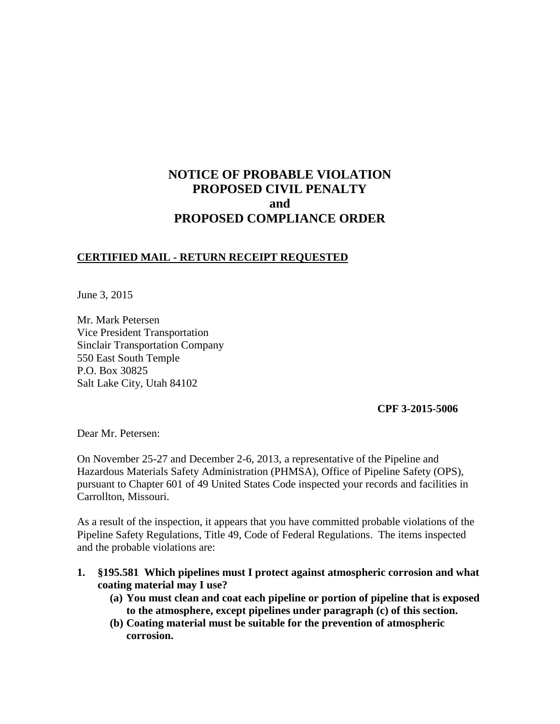# **NOTICE OF PROBABLE VIOLATION PROPOSED CIVIL PENALTY and PROPOSED COMPLIANCE ORDER**

### **CERTIFIED MAIL - RETURN RECEIPT REQUESTED**

June 3, 2015

Mr. Mark Petersen Vice President Transportation Sinclair Transportation Company 550 East South Temple P.O. Box 30825 Salt Lake City, Utah 84102

**CPF 3-2015-5006** 

Dear Mr. Petersen:

On November 25-27 and December 2-6, 2013, a representative of the Pipeline and Hazardous Materials Safety Administration (PHMSA), Office of Pipeline Safety (OPS), pursuant to Chapter 601 of 49 United States Code inspected your records and facilities in Carrollton, Missouri.

As a result of the inspection, it appears that you have committed probable violations of the Pipeline Safety Regulations, Title 49, Code of Federal Regulations. The items inspected and the probable violations are:

- **1. §195.581 Which pipelines must I protect against atmospheric corrosion and what coating material may I use?** 
	- **(a) You must clean and coat each pipeline or portion of pipeline that is exposed to the atmosphere, except pipelines under paragraph (c) of this section.**
	- **(b) Coating material must be suitable for the prevention of atmospheric corrosion.**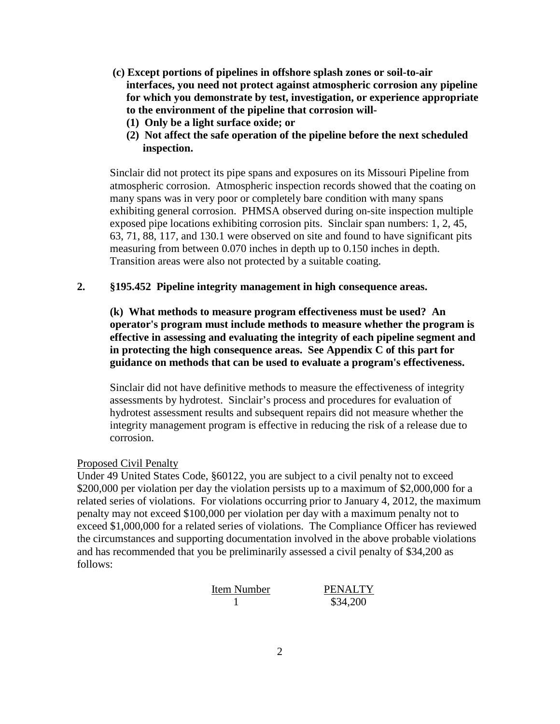- **(c) Except portions of pipelines in offshore splash zones or soil-to-air interfaces, you need not protect against atmospheric corrosion any pipeline for which you demonstrate by test, investigation, or experience appropriate to the environment of the pipeline that corrosion will-** 
	- **(1) Only be a light surface oxide; or**
	- **(2) Not affect the safe operation of the pipeline before the next scheduled inspection.**

Sinclair did not protect its pipe spans and exposures on its Missouri Pipeline from atmospheric corrosion. Atmospheric inspection records showed that the coating on many spans was in very poor or completely bare condition with many spans exhibiting general corrosion. PHMSA observed during on-site inspection multiple exposed pipe locations exhibiting corrosion pits. Sinclair span numbers: 1, 2, 45, 63, 71, 88, 117, and 130.1 were observed on site and found to have significant pits measuring from between 0.070 inches in depth up to 0.150 inches in depth. Transition areas were also not protected by a suitable coating.

## **2. §195.452 Pipeline integrity management in high consequence areas.**

**(k) What methods to measure program effectiveness must be used? An operator's program must include methods to measure whether the program is effective in assessing and evaluating the integrity of each pipeline segment and in protecting the high consequence areas. See Appendix C of this part for guidance on methods that can be used to evaluate a program's effectiveness.**

Sinclair did not have definitive methods to measure the effectiveness of integrity assessments by hydrotest. Sinclair's process and procedures for evaluation of hydrotest assessment results and subsequent repairs did not measure whether the integrity management program is effective in reducing the risk of a release due to corrosion.

#### Proposed Civil Penalty

Under 49 United States Code, §60122, you are subject to a civil penalty not to exceed \$200,000 per violation per day the violation persists up to a maximum of \$2,000,000 for a related series of violations. For violations occurring prior to January 4, 2012, the maximum penalty may not exceed \$100,000 per violation per day with a maximum penalty not to exceed \$1,000,000 for a related series of violations. The Compliance Officer has reviewed the circumstances and supporting documentation involved in the above probable violations and has recommended that you be preliminarily assessed a civil penalty of \$34,200 as follows:

| Item Number | <b>PENALTY</b> |
|-------------|----------------|
|             | \$34,200       |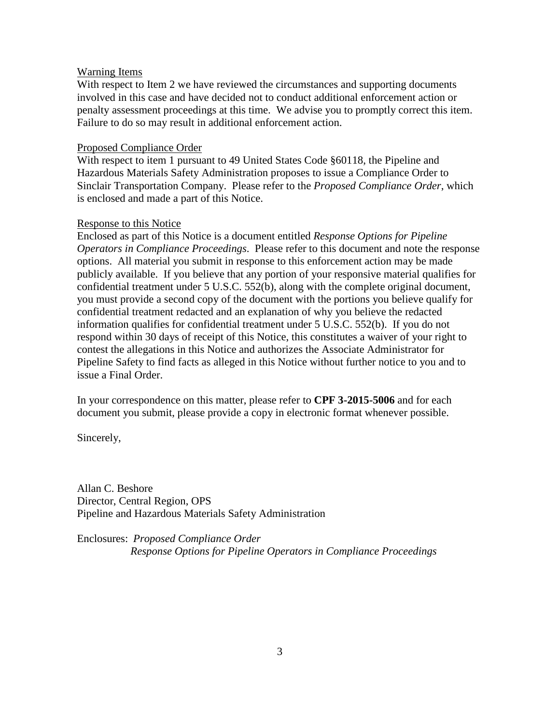#### Warning Items

With respect to Item 2 we have reviewed the circumstances and supporting documents involved in this case and have decided not to conduct additional enforcement action or penalty assessment proceedings at this time. We advise you to promptly correct this item. Failure to do so may result in additional enforcement action.

#### Proposed Compliance Order

With respect to item 1 pursuant to 49 United States Code §60118, the Pipeline and Hazardous Materials Safety Administration proposes to issue a Compliance Order to Sinclair Transportation Company. Please refer to the *Proposed Compliance Order*, which is enclosed and made a part of this Notice.

#### Response to this Notice

Enclosed as part of this Notice is a document entitled *Response Options for Pipeline Operators in Compliance Proceedings*. Please refer to this document and note the response options. All material you submit in response to this enforcement action may be made publicly available. If you believe that any portion of your responsive material qualifies for confidential treatment under 5 U.S.C. 552(b), along with the complete original document, you must provide a second copy of the document with the portions you believe qualify for confidential treatment redacted and an explanation of why you believe the redacted information qualifies for confidential treatment under 5 U.S.C. 552(b). If you do not respond within 30 days of receipt of this Notice, this constitutes a waiver of your right to contest the allegations in this Notice and authorizes the Associate Administrator for Pipeline Safety to find facts as alleged in this Notice without further notice to you and to issue a Final Order.

In your correspondence on this matter, please refer to **CPF 3-2015-5006** and for each document you submit, please provide a copy in electronic format whenever possible.

Sincerely,

Allan C. Beshore Director, Central Region, OPS Pipeline and Hazardous Materials Safety Administration

Enclosures: *Proposed Compliance Order Response Options for Pipeline Operators in Compliance Proceedings*